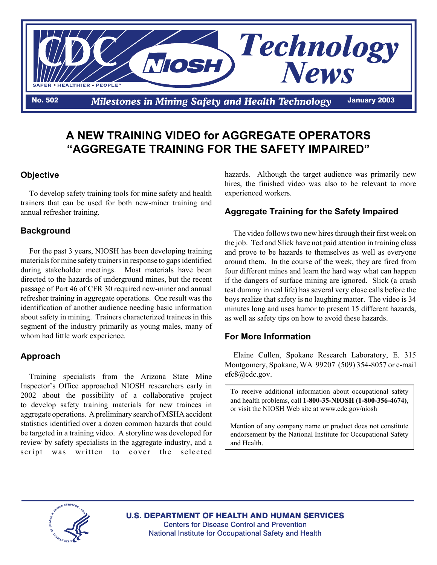

## **A NEW TRAINING VIDEO for AGGREGATE OPERATORS "AGGREGATE TRAINING FOR THE SAFETY IMPAIRED"**

# **Objective**

To develop safety training tools for mine safety and health trainers that can be used for both new-miner training and annual refresher training.

#### **Background**

For the past 3 years, NIOSH has been developing training materials for mine safety trainers in response to gaps identified during stakeholder meetings. Most materials have been directed to the hazards of underground mines, but the recent passage of Part 46 of CFR 30 required new-miner and annual refresher training in aggregate operations. One result was the identification of another audience needing basic information about safety in mining. Trainers characterized trainees in this segment of the industry primarily as young males, many of whom had little work experience.

#### **Approach**

Training specialists from the Arizona State Mine Inspector's Office approached NIOSH researchers early in 2002 about the possibility of a collaborative project to develop safety training materials for new trainees in aggregate operations. A preliminary search of MSHA accident statistics identified over a dozen common hazards that could be targeted in a training video. A storyline was developed for review by safety specialists in the aggregate industry, and a script was written to cover the selected

hazards. Although the target audience was primarily new hires, the finished video was also to be relevant to more experienced workers.

### **Aggregate Training for the Safety Impaired**

The video follows two new hires through their first week on the job. Ted and Slick have not paid attention in training class and prove to be hazards to themselves as well as everyone around them. In the course of the week, they are fired from four different mines and learn the hard way what can happen if the dangers of surface mining are ignored. Slick (a crash test dummy in real life) has several very close calls before the boys realize that safety is no laughing matter. The video is 34 minutes long and uses humor to present 15 different hazards, as well as safety tips on how to avoid these hazards.

#### **For More Information**

Elaine Cullen, Spokane Research Laboratory, E. 315 Montgomery, Spokane, WA 99207 (509) 354-8057 or e-mail efc8@cdc.gov.

To receive additional information about occupational safety and health problems, call **1-800-35-NIOSH (1-800-356-4674)**, or visit the NIOSH Web site at www.cdc.gov/niosh

Mention of any company name or product does not constitute endorsement by the National Institute for Occupational Safety and Health.



U.S. DEPARTMENT OF HEALTH AND HUMAN SERVICES Centers for Disease Control and Prevention National Institute for Occupational Safety and Health